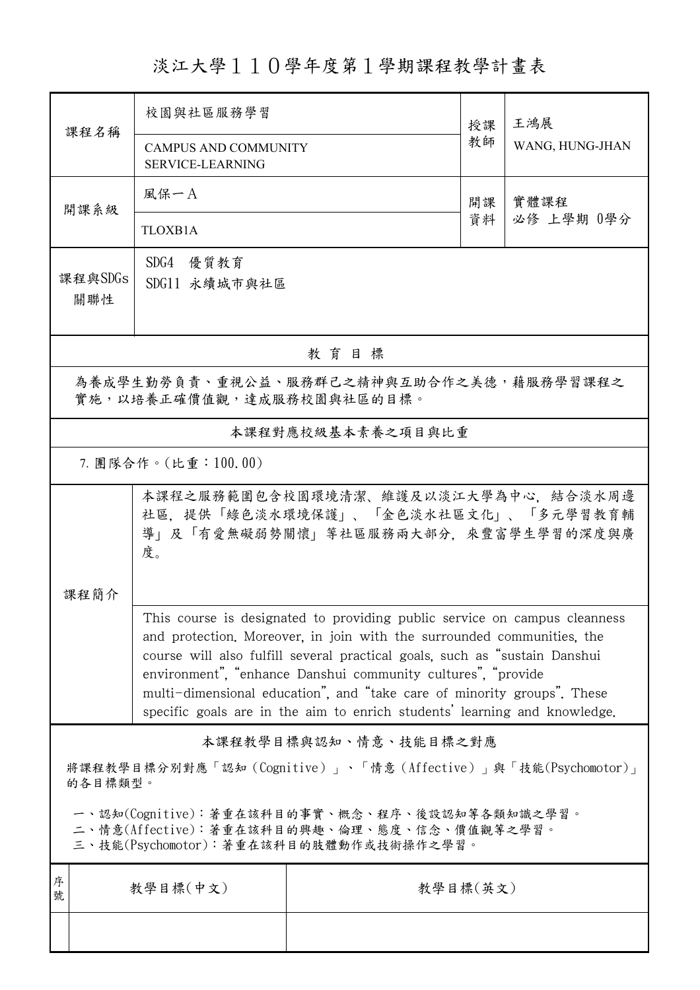## 淡江大學110學年度第1學期課程教學計畫表

| 課程名稱                                                                                                                                   | 校園與社區服務學習<br><b>CAMPUS AND COMMUNITY</b><br><b>SERVICE-LEARNING</b>                                                                                                                                                                                                                                                                                                                                                                                       |                   | 授課<br>教師 | 王鴻展             |  |  |  |
|----------------------------------------------------------------------------------------------------------------------------------------|-----------------------------------------------------------------------------------------------------------------------------------------------------------------------------------------------------------------------------------------------------------------------------------------------------------------------------------------------------------------------------------------------------------------------------------------------------------|-------------------|----------|-----------------|--|--|--|
|                                                                                                                                        |                                                                                                                                                                                                                                                                                                                                                                                                                                                           |                   |          | WANG, HUNG-JHAN |  |  |  |
| 開課系級                                                                                                                                   | 風保一A                                                                                                                                                                                                                                                                                                                                                                                                                                                      |                   | 開課       | 實體課程            |  |  |  |
|                                                                                                                                        | <b>TLOXB1A</b>                                                                                                                                                                                                                                                                                                                                                                                                                                            | 資料                |          | 必修 上學期 0學分      |  |  |  |
| 課程與SDGs<br>關聯性                                                                                                                         | SDG4 優質教育<br>SDG11 永續城市與社區                                                                                                                                                                                                                                                                                                                                                                                                                                |                   |          |                 |  |  |  |
| 教育目標                                                                                                                                   |                                                                                                                                                                                                                                                                                                                                                                                                                                                           |                   |          |                 |  |  |  |
| 為養成學生勤勞負責、重視公益、服務群己之精神與互助合作之美德,藉服務學習課程之<br>實施,以培養正確價值觀,達成服務校園與社區的目標。                                                                   |                                                                                                                                                                                                                                                                                                                                                                                                                                                           |                   |          |                 |  |  |  |
|                                                                                                                                        |                                                                                                                                                                                                                                                                                                                                                                                                                                                           | 本課程對應校級基本素養之項目與比重 |          |                 |  |  |  |
|                                                                                                                                        | 7. 團隊合作。(比重:100.00)                                                                                                                                                                                                                                                                                                                                                                                                                                       |                   |          |                 |  |  |  |
|                                                                                                                                        | 本課程之服務範圍包含校園環境清潔、維護及以淡江大學為中心,結合淡水周邊<br>社區,提供「綠色淡水環境保護」、「金色淡水社區文化」、「多元學習教育輔<br>導」及「有愛無礙弱勢關懷」等社區服務兩大部分,來豐富學生學習的深度與廣<br>度。                                                                                                                                                                                                                                                                                                                                   |                   |          |                 |  |  |  |
| 課程簡介                                                                                                                                   |                                                                                                                                                                                                                                                                                                                                                                                                                                                           |                   |          |                 |  |  |  |
|                                                                                                                                        | This course is designated to providing public service on campus cleanness<br>and protection. Moreover, in join with the surrounded communities, the<br>course will also fulfill several practical goals, such as "sustain Danshui<br>environment", "enhance Danshui community cultures", "provide<br>multi-dimensional education", and "take care of minority groups". These<br>specific goals are in the aim to enrich students' learning and knowledge. |                   |          |                 |  |  |  |
| 本課程教學目標與認知、情意、技能目標之對應                                                                                                                  |                                                                                                                                                                                                                                                                                                                                                                                                                                                           |                   |          |                 |  |  |  |
| 將課程教學目標分別對應「認知 (Cognitive)」、「情意 (Affective)」與「技能(Psychomotor)」<br>的各目標類型。                                                              |                                                                                                                                                                                                                                                                                                                                                                                                                                                           |                   |          |                 |  |  |  |
| 一、認知(Cognitive):著重在該科目的事實、概念、程序、後設認知等各類知識之學習。<br>二、情意(Affective):著重在該科目的興趣、倫理、態度、信念、價值觀等之學習。<br>三、技能(Psychomotor):著重在該科目的肢體動作或技術操作之學習。 |                                                                                                                                                                                                                                                                                                                                                                                                                                                           |                   |          |                 |  |  |  |
| 序<br>號                                                                                                                                 | 教學目標(中文)                                                                                                                                                                                                                                                                                                                                                                                                                                                  | 教學目標(英文)          |          |                 |  |  |  |
|                                                                                                                                        |                                                                                                                                                                                                                                                                                                                                                                                                                                                           |                   |          |                 |  |  |  |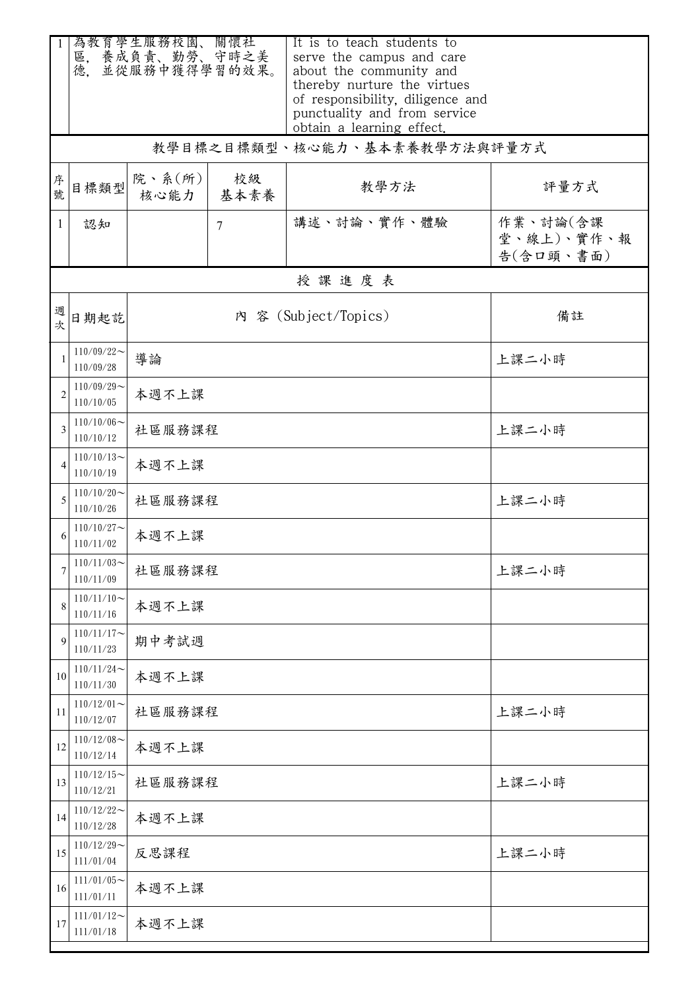|                | 為教育學生服務校園、關懷社<br>區, 養成負責、勤勞、守時之美<br>並從服務中獲得學習的效果。<br>德. |                      |            | It is to teach students to<br>serve the campus and care<br>about the community and<br>thereby nurture the virtues |                                     |  |
|----------------|---------------------------------------------------------|----------------------|------------|-------------------------------------------------------------------------------------------------------------------|-------------------------------------|--|
|                |                                                         |                      |            | of responsibility, diligence and<br>punctuality and from service<br>obtain a learning effect.                     |                                     |  |
|                |                                                         |                      |            | 教學目標之目標類型、核心能力、基本素養教學方法與評量方式                                                                                      |                                     |  |
| 序號             | 目標類型                                                    | 院、系(所)<br>核心能力       | 校級<br>基本素養 | 教學方法                                                                                                              | 評量方式                                |  |
| 1              | 認知                                                      |                      | 7          | 講述、討論、實作、體驗                                                                                                       | 作業、討論(含課<br>堂、線上)、實作、報<br>告(含口頭、書面) |  |
|                |                                                         |                      |            | 授課進度表                                                                                                             |                                     |  |
| 週次             | 日期起訖                                                    | 內 容 (Subject/Topics) |            |                                                                                                                   | 備註                                  |  |
|                | $110/09/22$ ~<br>110/09/28                              | 導論                   |            |                                                                                                                   | 上課二小時                               |  |
| $\overline{2}$ | $110/09/29$ ~<br>110/10/05                              | 本週不上課                |            |                                                                                                                   |                                     |  |
| 3              | $110/10/06$ ~<br>110/10/12                              | 社區服務課程               |            |                                                                                                                   | 上課二小時                               |  |
|                | $110/10/13$ ~<br>110/10/19                              | 本週不上課                |            |                                                                                                                   |                                     |  |
| 5              | $110/10/20$ ~<br>110/10/26                              | 社區服務課程               |            |                                                                                                                   | 上課二小時                               |  |
|                | $110/10/27$ ~<br>110/11/02                              | 本週不上課                |            |                                                                                                                   |                                     |  |
| 7              | $110/11/03$ ~<br>110/11/09                              | 社區服務課程               |            |                                                                                                                   | 上課二小時                               |  |
| 8              | $110/11/10$ ~<br>110/11/16                              | 本週不上課                |            |                                                                                                                   |                                     |  |
| 9              | $110/11/17$ ~<br>110/11/23                              | 期中考試週                |            |                                                                                                                   |                                     |  |
| 10             | $110/11/24$ ~<br>110/11/30                              | 本週不上課                |            |                                                                                                                   |                                     |  |
| 11             | $110/12/01$ ~<br>110/12/07                              | 上課二小時<br>社區服務課程      |            |                                                                                                                   |                                     |  |
| 12             | $110/12/08$ ~<br>110/12/14                              | 本週不上課                |            |                                                                                                                   |                                     |  |
| 13             | $110/12/15$ ~<br>110/12/21                              | 上課二小時<br>社區服務課程      |            |                                                                                                                   |                                     |  |
| 14             | $110/12/22$ ~<br>110/12/28                              | 本週不上課                |            |                                                                                                                   |                                     |  |
| 15             | $110/12/29$ ~<br>111/01/04                              | 反思課程                 | 上課二小時      |                                                                                                                   |                                     |  |
| 16             | $111/01/05$ ~<br>111/01/11                              | 本週不上課                |            |                                                                                                                   |                                     |  |
| 17             | $111/01/12$ ~<br>111/01/18                              | 本週不上課                |            |                                                                                                                   |                                     |  |